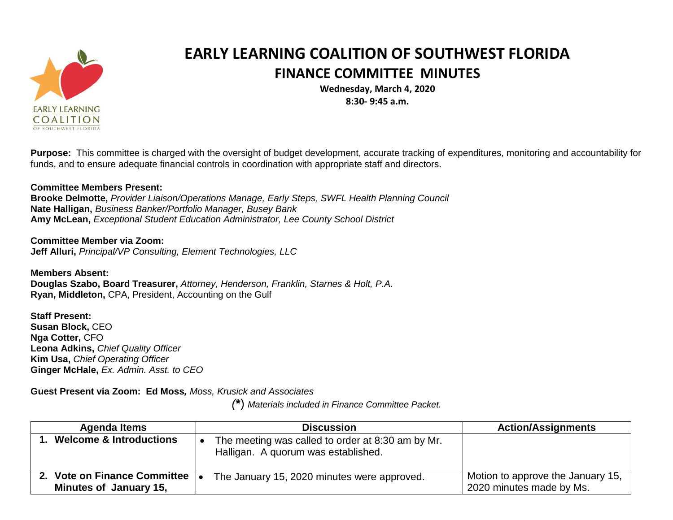

## **EARLY LEARNING COALITION OF SOUTHWEST FLORIDA FINANCE COMMITTEE MINUTES**

**Wednesday, March 4, 2020 8:30- 9:45 a.m.** 

**Purpose:** This committee is charged with the oversight of budget development, accurate tracking of expenditures, monitoring and accountability for funds, and to ensure adequate financial controls in coordination with appropriate staff and directors.

**Committee Members Present: Brooke Delmotte,** *Provider Liaison/Operations Manage, Early Steps, SWFL Health Planning Council*  **Nate Halligan,** *Business Banker/Portfolio Manager, Busey Bank* **Amy McLean,** *Exceptional Student Education Administrator, Lee County School District* 

**Committee Member via Zoom: Jeff Alluri,** *Principal/VP Consulting, Element Technologies, LLC* 

**Members Absent: Douglas Szabo, Board Treasurer,** *Attorney, Henderson, Franklin, Starnes & Holt, P.A.*  **Ryan, Middleton,** CPA, President, Accounting on the Gulf

**Staff Present: Susan Block,** CEO **Nga Cotter,** CFO **Leona Adkins,** *Chief Quality Officer*  **Kim Usa,** *Chief Operating Officer*  **Ginger McHale,** *Ex. Admin. Asst. to CEO* 

**Guest Present via Zoom: Ed Moss***, Moss, Krusick and Associates*

*(***\***) *Materials included in Finance Committee Packet.*

| <b>Agenda Items</b>                                           | <b>Discussion</b>                                                                        | <b>Action/Assignments</b>                                     |
|---------------------------------------------------------------|------------------------------------------------------------------------------------------|---------------------------------------------------------------|
| 1. Welcome & Introductions                                    | The meeting was called to order at 8:30 am by Mr.<br>Halligan. A quorum was established. |                                                               |
| 2. Vote on Finance Committee<br><b>Minutes of January 15,</b> | The January 15, 2020 minutes were approved.                                              | Motion to approve the January 15,<br>2020 minutes made by Ms. |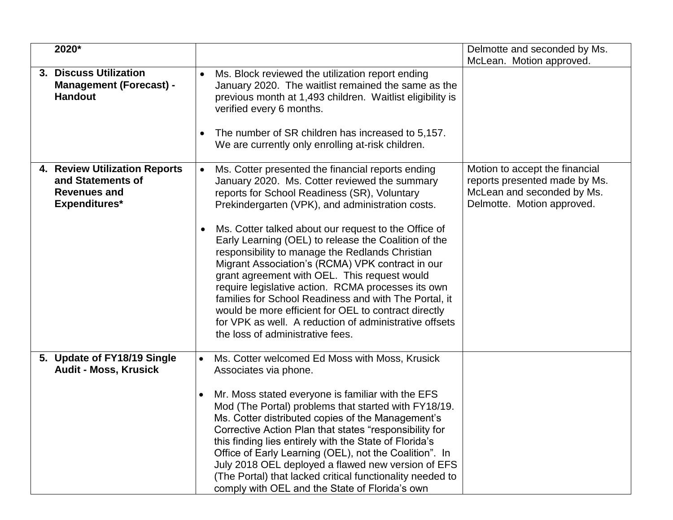| 2020*                                                                                      |                                                                                                                                                                                                                                                                                                                                                                                                                                                                                                                                                                                                                                                                                                                                                                              | Delmotte and seconded by Ms.<br>McLean. Motion approved.                                                                    |
|--------------------------------------------------------------------------------------------|------------------------------------------------------------------------------------------------------------------------------------------------------------------------------------------------------------------------------------------------------------------------------------------------------------------------------------------------------------------------------------------------------------------------------------------------------------------------------------------------------------------------------------------------------------------------------------------------------------------------------------------------------------------------------------------------------------------------------------------------------------------------------|-----------------------------------------------------------------------------------------------------------------------------|
| 3. Discuss Utilization<br><b>Management (Forecast) -</b><br><b>Handout</b>                 | Ms. Block reviewed the utilization report ending<br>$\bullet$<br>January 2020. The waitlist remained the same as the<br>previous month at 1,493 children. Waitlist eligibility is<br>verified every 6 months.<br>The number of SR children has increased to 5,157.<br>$\bullet$<br>We are currently only enrolling at-risk children.                                                                                                                                                                                                                                                                                                                                                                                                                                         |                                                                                                                             |
| 4. Review Utilization Reports<br>and Statements of<br><b>Revenues and</b><br>Expenditures* | Ms. Cotter presented the financial reports ending<br>$\bullet$<br>January 2020. Ms. Cotter reviewed the summary<br>reports for School Readiness (SR), Voluntary<br>Prekindergarten (VPK), and administration costs.<br>Ms. Cotter talked about our request to the Office of<br>$\bullet$<br>Early Learning (OEL) to release the Coalition of the<br>responsibility to manage the Redlands Christian<br>Migrant Association's (RCMA) VPK contract in our<br>grant agreement with OEL. This request would<br>require legislative action. RCMA processes its own<br>families for School Readiness and with The Portal, it<br>would be more efficient for OEL to contract directly<br>for VPK as well. A reduction of administrative offsets<br>the loss of administrative fees. | Motion to accept the financial<br>reports presented made by Ms.<br>McLean and seconded by Ms.<br>Delmotte. Motion approved. |
| 5. Update of FY18/19 Single<br><b>Audit - Moss, Krusick</b>                                | Ms. Cotter welcomed Ed Moss with Moss, Krusick<br>$\bullet$<br>Associates via phone.<br>Mr. Moss stated everyone is familiar with the EFS<br>Mod (The Portal) problems that started with FY18/19.<br>Ms. Cotter distributed copies of the Management's<br>Corrective Action Plan that states "responsibility for<br>this finding lies entirely with the State of Florida's<br>Office of Early Learning (OEL), not the Coalition". In<br>July 2018 OEL deployed a flawed new version of EFS<br>(The Portal) that lacked critical functionality needed to<br>comply with OEL and the State of Florida's own                                                                                                                                                                    |                                                                                                                             |